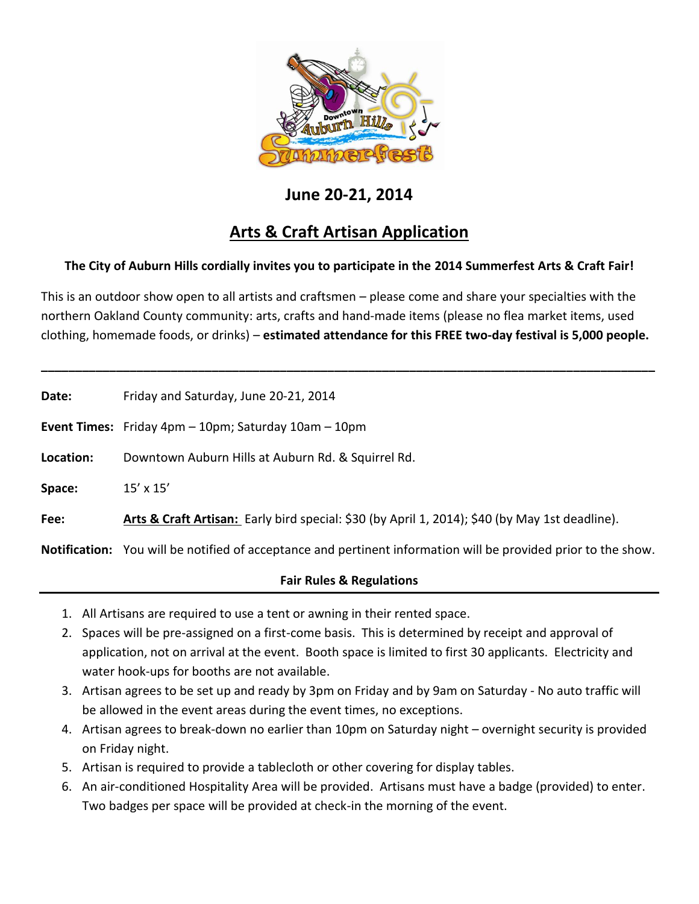

## **June 20-21, 2014**

# **Arts & Craft Artisan Application**

### **The City of Auburn Hills cordially invites you to participate in the 2014 Summerfest Arts & Craft Fair!**

This is an outdoor show open to all artists and craftsmen – please come and share your specialties with the northern Oakland County community: arts, crafts and hand-made items (please no flea market items, used clothing, homemade foods, or drinks) – **estimated attendance for this FREE two-day festival is 5,000 people.**

**\_\_\_\_\_\_\_\_\_\_\_\_\_\_\_\_\_\_\_\_\_\_\_\_\_\_\_\_\_\_\_\_\_\_\_\_\_\_\_\_\_\_\_\_\_\_\_\_\_\_\_\_\_\_\_\_\_\_\_\_\_\_\_\_\_\_\_\_\_\_\_\_\_\_\_\_\_\_\_\_\_\_\_\_\_\_\_\_\_\_**

| Date:     | Friday and Saturday, June 20-21, 2014                                                                                 |
|-----------|-----------------------------------------------------------------------------------------------------------------------|
|           | <b>Event Times:</b> Friday $4pm - 10pm$ ; Saturday $10am - 10pm$                                                      |
| Location: | Downtown Auburn Hills at Auburn Rd. & Squirrel Rd.                                                                    |
| Space:    | $15' \times 15'$                                                                                                      |
| Fee:      | Arts & Craft Artisan: Early bird special: \$30 (by April 1, 2014); \$40 (by May 1st deadline).                        |
|           | <b>Notification:</b> You will be notified of acceptance and pertinent information will be provided prior to the show. |
|           |                                                                                                                       |

#### **Fair Rules & Regulations**

- 1. All Artisans are required to use a tent or awning in their rented space.
- 2. Spaces will be pre-assigned on a first-come basis. This is determined by receipt and approval of application, not on arrival at the event. Booth space is limited to first 30 applicants. Electricity and water hook-ups for booths are not available.
- 3. Artisan agrees to be set up and ready by 3pm on Friday and by 9am on Saturday No auto traffic will be allowed in the event areas during the event times, no exceptions.
- 4. Artisan agrees to break-down no earlier than 10pm on Saturday night overnight security is provided on Friday night.
- 5. Artisan is required to provide a tablecloth or other covering for display tables.
- 6. An air-conditioned Hospitality Area will be provided. Artisans must have a badge (provided) to enter. Two badges per space will be provided at check-in the morning of the event.